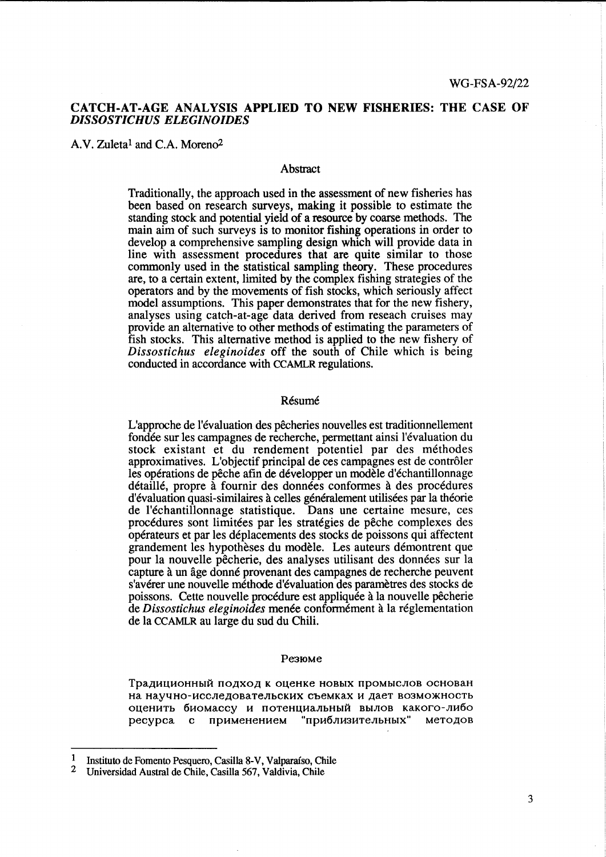# CATCH-AT-AGE ANALYSIS APPLIED TO NEW FISHERIES: THE CASE OF *DISSOSTICHUS ELEGINOIDES*

A.V. Zuleta<sup>1</sup> and C.A. Moreno<sup>2</sup>

## **Abstract**

Traditionally, the approach used in the assessment of new fisheries has been based on research surveys, making it possible to estimate the standing stock and potential yield of a resource by coarse methods. The main aim of such surveys is to monitor fishing operations in order to develop a comprehensive sampling design which will provide data in line with assessment procedures that are quite similar to those commonly used in the statistical sampling theory. These procedures are, to a certain extent, limited by the complex fishing strategies of the operators and by the movements of fish stocks, which seriously affect model assumptions. This paper demonstrates that for the new fishery, analyses using catch-at-age data derived from reseach cruises may provide an alternative to other methods of estimating the parameters of fish stocks. This alternative method is applied to the new fishery of *Dissostichus e/eginoides* off the south of Chile which is being conducted in accordance with CCAMLR regulations.

#### Résumé

L'approche de l'évaluation des pêcheries nouvelles est traditionnellement fondée sur les campagnes de recherche, permettant ainsi l'évaluation du stock existant et du rendement potentiel par des methodes approximatives. L'objectif principal de ces campagnes est de contrôler les opérations de pêche afin de développer un modèle d'échantillonnage détaillé, propre à fournir des données conformes à des procédures d'évaluation quasi-similaires à celles généralement utilisées par la théorie de l'échantillonnage statistique. Dans une certaine mesure, ces procedures sont limitees par les strategies de peche complexes des operateurs et par les deplacements des stocks de poissons qui affectent grandement les hypotheses du modele. Les auteurs demontrent que pour la nouvelle pêcherie, des analyses utilisant des données sur la capture à un âge donné provenant des campagnes de recherche peuvent s'avérer une nouvelle méthode d'évaluation des paramètres des stocks de poissons. Cette nouvelle procédure est appliquée à la nouvelle pêcherie de *Dissostichus eleginoides* menée conformément à la réglementation de la CCAMLR au large du sud du Chili.

#### Pe310Me

Традиционный подход к оценке новых промыслов основан на научно-исследовательских съемках и дает возможность оценить биомассу и потенциальный вылов какого-либо pecypca с применением "приблизительных" методов

<sup>1</sup> Instituto de Fomento Pesquero, Casilla 8-V, Valparafso, Chile

<sup>2</sup> Universidad Austral de Chile, Casilla 567, Valdivia, Chile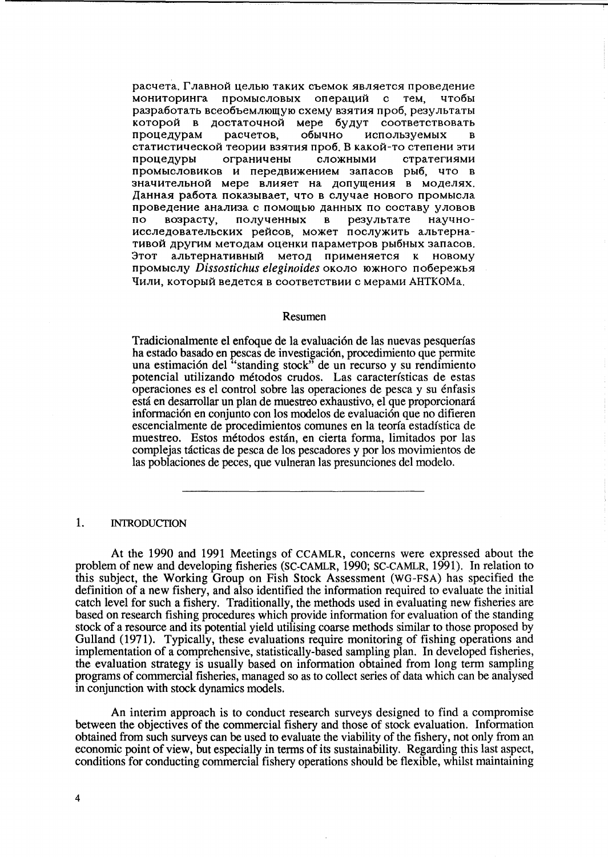расчета. Главной целью таких съемок является проведение мониторинга промысловых операций с тем, чтобы разработать всеобъемлющую схему взятия проб, результаты которой в достаточной мере будут соответствовать<br>процедурам расчетов, обычно используемых в процедурам расчетов, обычно используемых в статистической теории взятия проб. В какой-то степени эти процедуры ограничены сложными стратегиями промысловиков и передвижением запасов рыб, что в значительной мере влияет на допущения в моделях. Данная работа показывает, что в случае нового промысла проведение анализа с помощью данных по составу уловов<br>по возрасту, полученных в результате научнополученных в исследовательских рейсов, может послужить альтернативой другим методам оценки параметров рыбных запасов. Этот альтернативный метод применяется к новому промыслу *Dissostichus eleginoides* около южного побережья Чили, который ведется в соответствии с мерами АНТКОМа.

#### Resumen

Tradicionalmente el enfoque de la evaluaci6n de las nuevas pesquerias ha estado basado en pescas de investigaci6n, procedimiento que permite una estimaci6n del "standing stock" de un recurso y su rendimiento potencial utilizando metodos crudos. Las caracterfsticas de estas operaciones es el control sobre las operaciones de pesca y su enfasis está en desarrollar un plan de muestreo exhaustivo, el que proporcionará información en conjunto con los modelos de evaluación que no difieren escencialmente de procedimientos comunes en la teoria estadfstica de muestreo. Estos metodos estan, en cierta forma, limitados por las complejas tacticas de pesca de los pescadores y por los movimientos de las poblaciones de peces, que vulneran las presunciones del modelo.

#### 1. INTRODUCTION

At the 1990 and 1991 Meetings of CCAMLR, concerns were expressed about the problem of new and developing fisheries (SC-CAMLR, 1990; SC-CAMLR, 1991). In relation to this subject, the Working Group on Fish Stock Assessment (WG-FSA) has specified the definition of a new fishery, and also identified the information required to evaluate the initial catch level for such a fishery. Traditionally, the methods used in evaluating new fisheries are based on research fishing procedures which provide information for evaluation of the standing stock of a resource and its potential yield utilising coarse methods similar to those proposed by Gulland (1971). Typically, these evaluations require monitoring of fishing operations and implementation of a comprehensive, statistically-based sampling plan. In developed fisheries, the evaluation strategy is usually based on information obtained from long term sampling programs of commercial fisheries, managed so as to collect series of data which can be analysed in conjunction with stock dynamics models.

An interim approach is to conduct research surveys designed to find a compromise between the objectives of the commercial fishery and those of stock evaluation. Information obtained from such surveys can be used to evaluate the viability of the fishery, not only from an economic point of view, but especially in terms of its sustainability. Regarding this last aspect, conditions for conducting commercial fishery operations should be flexible, whilst maintaining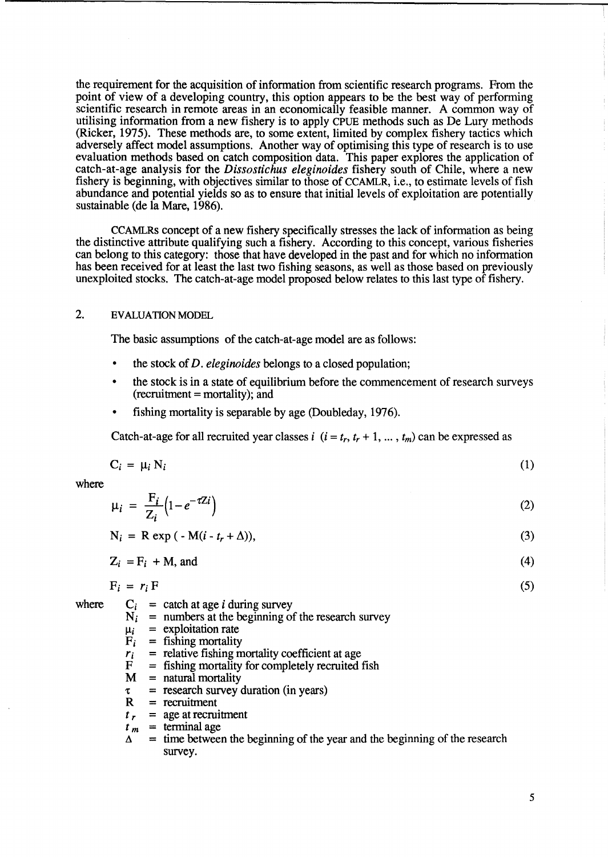the requirement for the acquisition of information from scientific research programs. From the point of view of a developing country, this option appears to be the best way of performing scientific research in remote areas in an economically feasible manner. A common way of utilising information from a new fishery is to apply CPUE methods such as De Lury methods (Ricker, 1975). These methods are, to some extent, limited by complex fishery tactics which adversely affect model assumptions. Another way of optimising this type of research is to use evaluation methods based on catch composition data. This paper explores the application of catch-at-age analysis for the *Dissostichus eleginoides* fishery south of Chile, where a new fishery is beginning, with objectives similar to those of CCAMLR, i.e., to estimate levels of fish abundance and potential yields so as to ensure that initial levels of exploitation are potentially sustainable (de la Mare, 1986).

CCAMLRs concept of a new fishery specifically stresses the lack of information as being the distinctive attribute qualifying such a fishery. According to this concept, various fisheries can belong to this category: those that have developed in the past and for which no information has been received for at least the last two fishing seasons, as well as those based on previously unexploited stocks. The catch-at-age model proposed below relates to this last type of fishery.

# 2. EVALUATION MODEL

The basic assumptions of the catch-at-age model are as follows:

- the stock of *D. eleginoides* belongs to a closed population;
- the stock is in a state of equilibrium before the commencement of research surveys (recruitment = mortality); and
- fishing mortality is separable by age (Doubleday, 1976).

Catch-at-age for all recruited year classes i  $(i = t_r, t_r + 1, ..., t_m)$  can be expressed as

$$
C_i = \mu_i N_i \tag{1}
$$

where

$$
\mu_i = \frac{F_i}{Z_i} \left( 1 - e^{-\tau Z_i} \right) \tag{2}
$$

$$
N_i = R \exp(-M(i - t_r + \Delta)), \tag{3}
$$

$$
Z_i = F_i + M, \text{ and } \tag{4}
$$

$$
F_i = r_i F \tag{5}
$$

- where  $C_i$  = catch at age *i* during survey
	- $N_i$  = numbers at the beginning of the research survey
	- $\mu_i$  = exploitation rate<br>F<sub>i</sub> = fishing mortality
	- $=$  fishing mortality
	- $r_i$  = relative fishing mortality coefficient at age<br> $F =$  fishing mortality for completely recruited
	- $F =$  fishing mortality for completely recruited fish  $M =$  natural mortality
	- $=$  natural mortality
	- $\tau$  = research survey duration (in years)<br>R = recruitment
	- $=$  recruitment
	- $t_r$  = age at recruitment
	- $t_m$  = terminal age
	- $\Delta$  = time between the beginning of the year and the beginning of the research survey.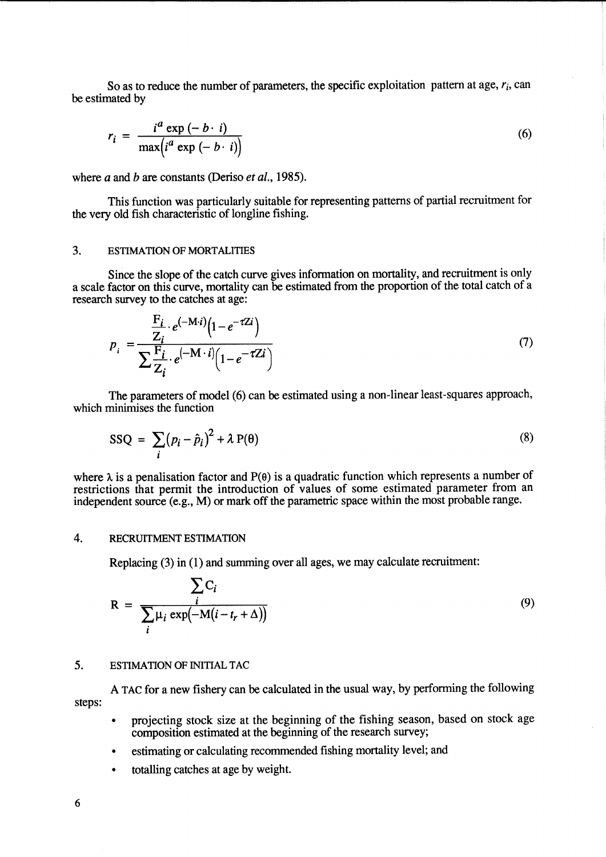So as to reduce the number of parameters, the specific exploitation pattern at age,  $r_i$ , can be estimated by

$$
r_i = \frac{i^a \exp(-b \cdot i)}{\max(i^a \exp(-b \cdot i))}
$$
 (6)

where *a* and *b* are constants (Deriso *et al., 1985).* 

This function was particularly suitable for representing patterns of partial recruitment for the very old fish characteristic of longline fishing.

## 3. ESTIMATION OF MORTALITIES

Since the slope of the catch curve gives information on mortality, and recruitment is only a scale factor on this curve, mortality can be estimated from the proportion of the total catch of a research survey to the catches at age:

$$
p_i = \frac{\frac{F_i}{Z_i} \cdot e^{(-M \cdot i)} \left(1 - e^{-\tau Z i}\right)}{\sum \frac{F_i}{Z_i} \cdot e^{(-M \cdot i)} \left(1 - e^{-\tau Z i}\right)}
$$
(7)

The parameters of model (6) can be estimated using a non-linear least-squares approach, which minimises the function

$$
SSQ = \sum_{i} (p_i - \hat{p}_i)^2 + \lambda P(\theta)
$$
\n(8)

where  $\lambda$  is a penalisation factor and  $P(\theta)$  is a quadratic function which represents a number of restrictions that permit the introduction of values of some estimated parameter from an independent source (e.g., M) or mark off the parametric space within the most probable range.

#### 4. RECRUITMENT ESTIMATION

Replacing (3) in (1) and summing over all ages, we may calculate recruitment:

$$
R = \frac{\sum_{i} C_{i}}{\sum_{i} \mu_{i} \exp(-M(i - t_{r} + \Delta))}
$$
(9)

## 5. ESTIMATION OF INITIAL TAC

steps: A TAC for a new fishery can be calculated in the usual way, by performing the following

- projecting stock size at the beginning of the fishing season, based on stock age composition estimated at the beginning of the research survey;
- estimating or calculating recommended fishing mortality level; and
- totalling catches at age by weight.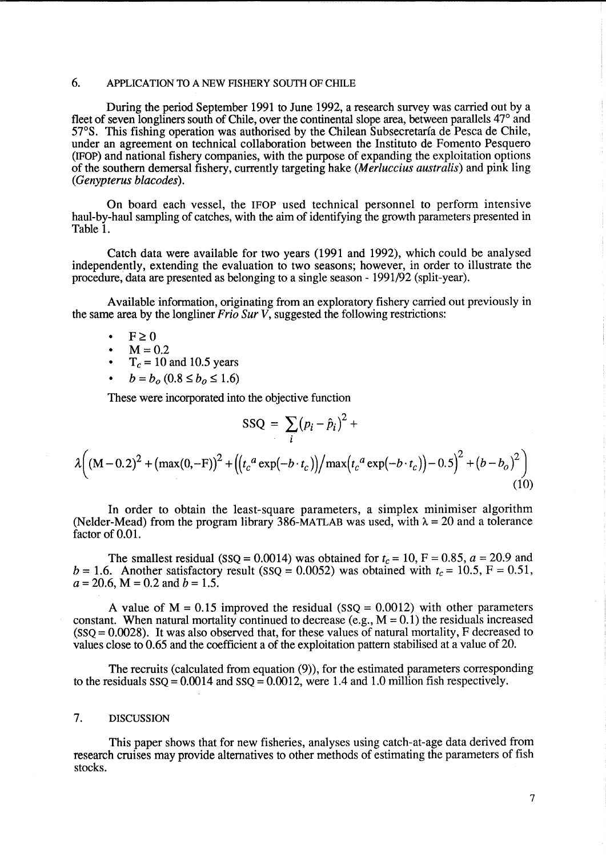# 6. APPLICATION TO A NEW FISHERY SOUTH OF CHILE

During the period September 1991 to June 1992, a research survey was carried out by a fleet of seven longliners south of Chile, over the continental slope area, between parallels 47° and *57°S.* This fishing operation was authorised by the Chilean Subsecretarfa de Pesca de Chile, under an agreement on technical collaboration between the Instituto de Fomento Pesquero (IFOP) and national fishery companies, with the purpose of expanding the exploitation options of the southern demersal fishery, currently targeting hake *(Merluccius australis)* and pink ling *(Genypterus blacodes).* 

On board each vessel, the IFOP used technical personnel to perform intensive haul-by-haul sampling of catches, with the aim of identifying the growth parameters presented in Table 1.

Catch data were available for two years (1991 and 1992), which could be analysed independently, extending the evaluation to two seasons; however, in order to illustrate the procedure, data are presented as belonging to a single season - 1991/92 (split-year).

Available information, originating from an exploratory fishery carried out previously in the same area by the longliner *Frio Sur V,* suggested the following restrictions:

 $F \geq 0$ 

•  $M = 0.2$ <br>•  $T_e = 10$ 

 $T_c = 10$  and 10.5 years

 $b = b_o (0.8 \le b_o \le 1.6)$ 

These were incorporated into the objective function

$$
SSQ = \sum_{i} (p_i - \hat{p}_i)^2 +
$$
  

$$
\lambda \left( (M - 0.2)^2 + (max(0, -F))^2 + \left( \left( t_c^a \exp(-b \cdot t_c) \right) / max \left( t_c^a \exp(-b \cdot t_c) \right) - 0.5 \right)^2 + \left( b - b_o \right)^2 \right)
$$
  
(10)

In order to obtain the least-square parameters, a simplex minimiser algorithm (Nelder-Mead) from the program library 386-MATLAB was used, with  $\lambda = 20$  and a tolerance factor of 0.01.

The smallest residual *(SSQ = 0.0014)* was obtained for  $t_c = 10$ ,  $F = 0.85$ ,  $a = 20.9$  and  $b = 1.6$ . Another satisfactory result *(SSQ = 0.0052)* was obtained with  $t_c = 10.5$ , F = 0.51,  $a = 20.6$ ,  $M = 0.2$  and  $b = 1.5$ .

A value of  $M = 0.15$  improved the residual  $(SSQ = 0.0012)$  with other parameters constant. When natural mortality continued to decrease (e.g.,  $M = 0.1$ ) the residuals increased *(SSQ* = 0.0028). It was also observed that, for these values of natural mortality, F decreased to values close to 0.65 and the coefficient a of the exploitation pattern stabilised at a value of 20.

The recruits (calculated from equation (9)), for the estimated parameters corresponding to the residuals  $SSQ = 0.0014$  and  $SSQ = 0.0012$ , were 1.4 and 1.0 million fish respectively.

#### 7. DISCUSSION

This paper shows that for new fisheries, analyses using catch-at-age data derived from research cruises may provide alternatives to other methods of estimating the parameters of fish stocks.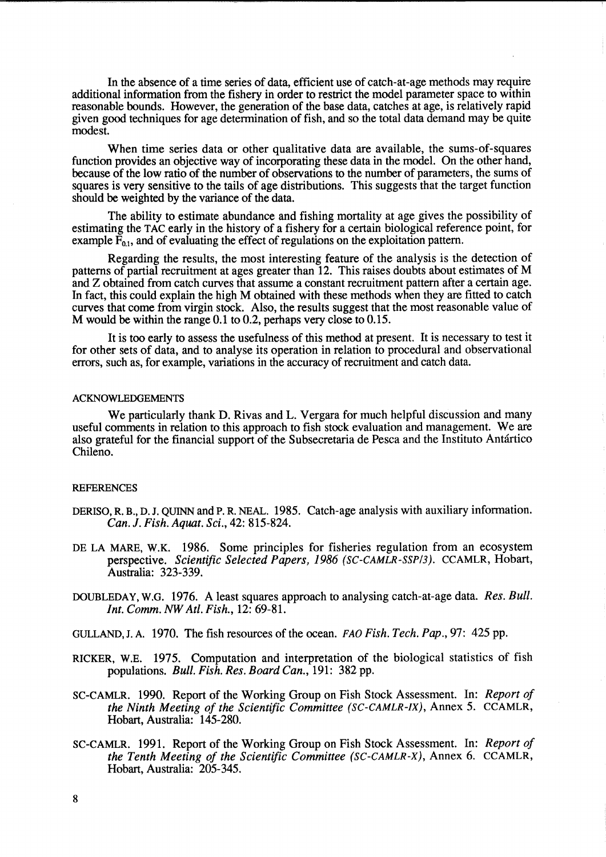In the absence of a time series of data, efficient use of catch-at-age methods may require additional information from the fishery in order to restrict the model parameter space to within reasonable bounds. However, the generation of the base data, catches at age, is relatively rapid given good techniques for age determination of fish, and so the total data demand may be quite modest.

When time series data or other qualitative data are available, the sums-of-squares function provides an objective way of incorporating these data in the model. On the other hand, because of the low ratio of the number of observations to the number of parameters, the sums of squares is very sensitive to the tails of age distributions. This suggests that the target function should be weighted by the variance of the data.

The ability to estimate abundance and fishing mortality at age gives the possibility of estimating the TAC early in the history of a fishery for a certain biological reference point, for example  $\bar{F}_{0,1}$ , and of evaluating the effect of regulations on the exploitation pattern.

Regarding the results, the most interesting feature of the analysis is the detection of patterns of partial recruitment at ages greater than 12. This raises doubts about estimates of M and Z obtained from catch curves that assume a constant recruitment pattern after a certain age. In fact, this could explain the high M obtained with these methods when they are fitted to catch curves that come from virgin stock. Also, the results suggest that the most reasonable value of M would be within the range 0.1 to 0.2, perhaps very close to 0.15.

It is too early to assess the usefulness of this method at present. It is necessary to test it for other sets of data, and to analyse its operation in relation to procedural and observational errors, such as, for example, variations in the accuracy of recruitment and catch data.

#### ACKNOWLEDGEMENTS

We particularly thank D. Rivas and L. Vergara for much helpful discussion and many useful comments in relation to this approach to fish stock evaluation and management. We are also grateful for the financial support of the Subsecretaria de Pesca and the Instituto Antartico Chileno.

#### REFERENCES

- DERISO, R. B., D. J. QUINN and P. R. NEAL. 1985. Catch-age analysis with auxiliary information. *Can.* J. *Fish. Aquat. Sci.,* 42: 815-824.
- DE LA MARE, W.K. 1986. Some principles for fisheries regulation from an ecosystem perspective. *Scientific Selected Papers,* 1986 *(SC-CAMLR-SSP/3).* CCAMLR, Hobart, Australia: 323-339.
- OOUBLEDAY, W.G. 1976. A least squares approach to analysing catch-at-age data. *Res. Bull. Int. Comm. NW Atl. Fish.,* 12: 69-81.
- GULLAND,J. A. 1970. The fish resources of the ocean. *FAO Fish. Tech. Pap.,* 97: 425 pp.
- RICKER, W.E. 1975. Computation and interpretation of the biological statistics of fish populations. *Bull. Fish. Res. Board Can.,* 191: 382 pp.
- SC-CAMLR. 1990. Report of the Working Group on Fish Stock Assessment. In: *Report of the Ninth Meeting of the Scientific Committee (SC-CAMLR-IX),* Annex 5. CCAMLR, Hobart, Australia: 145-280.
- SC-CAMLR. 1991. Report of the Working Group on Fish Stock Assessment. In: *Report of the Tenth Meeting of the Scientific Committee (SC-CAMLR-X),* Annex 6. CCAMLR, Hobart, Australia: 205-345.